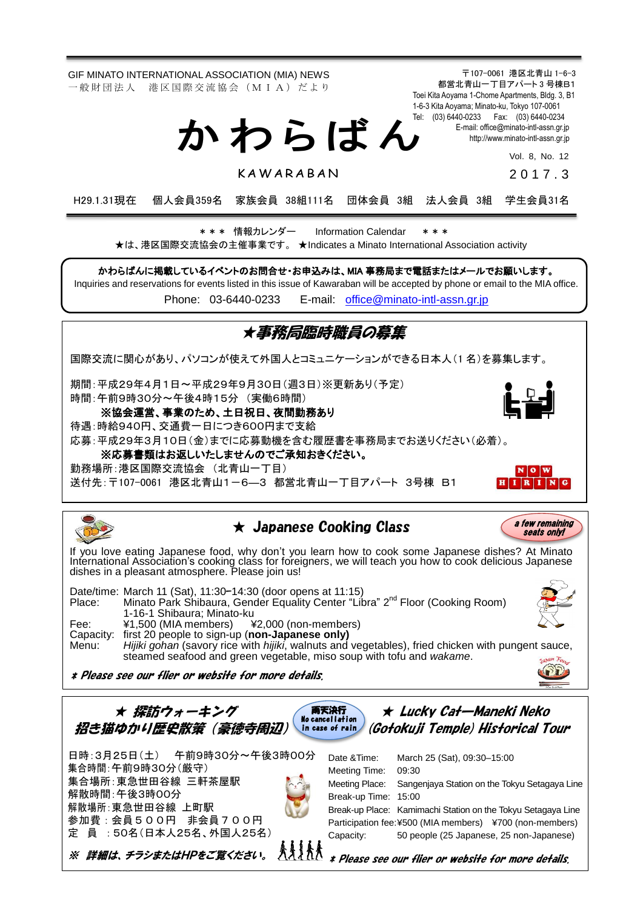GIF MINATO INTERNATIONAL ASSOCIATION (MIA) NEWS 一 般 財 団 法 人 港 区 国 際 交 流 協 会 (M I A) だ よ り

> Tel: (03) 6440-0233 Fax: (03) 6440-0234 か わ ら ば ん

> > **KAWARABAN**

[http://www.minato-intl-assn.gr.jp](http://www.minato-intl-assn.gr.jp/) Vol. 8, No. 12

201 7 . 3

〒107-0061 港区北青山 1-6-3 都営北青山一丁目アパート 3 号棟B1 Toei Kita Aoyama 1-Chome Apartments, Bldg. 3, B1 1-6-3 Kita Aoyama; Minato-ku, Tokyo 107-0061

E-mail[: office@minato-intl-assn.gr.jp](mailto:office@minato-intl-assn.gr.jp)

H29.1.31現在 個人会員359名 家族会員 38組111名 団体会員 3組 法人会員 3組 学生会員31名

\* \* \* 情報カレンダー Information Calendar \* \* \* ★は、港区国際交流協会の主催事業です。 ★Indicates a Minato International Association activity

かわらばんに掲載しているイベントのお問合せ・お申込みは、MIA 事務局まで電話またはメールでお願いします。

Inquiries and reservations for events listed in this issue of Kawaraban will be accepted by phone or email to the MIA office.

Phone: [03-6440-0233](mailto:TEL:%0903-6440-0233) E-mail: [office@minato-intl-assn.gr.jp](mailto:office@minato-intl-assn.gr.jp)

## ★事務局臨時職員の募集 国際交流に関心があり、パソコンが使えて外国人とコミュニケーションができる日本人(1 名)を募集します。 期間:平成29年4月1日~平成29年9月30日(週3日)※更新あり(予定) 時間:午前9時30分~午後4時15分 (実働6時間) ※協会運営、事業のため、土日祝日、夜間勤務あり 待遇:時給940円、交通費一日につき600円まで支給 応募:平成29年3月10日(金)までに応募動機を含む履歴書を事務局までお送りください(必着)。 ※応募書類はお返しいたしませんのでご承知おきください。 勤務場所:港区国際交流協会 (北青山一丁目) NOW 送付先:〒107-0061 港区北青山1-6-3 都営北青山一丁目アパート 3号棟 B1  $I[R[I[N]$  $\star$  Japanese Cooking Class a few remaining seats only! If you love eating Japanese food, why don't you learn how to cook some Japanese dishes? At Minato International Association's cooking class for foreigners, we will teach you how to cook delicious Japanese dishes in a pleasant atmosphere. Please join us!

Date/time: March 11 (Sat), 11:30–14:30 (door opens at 11:15) Place: Minato Park Shibaura, Gender Equality Center "Libra" 2<sup>nd</sup> Floor (Cooking Room) 1-16-1 Shibaura; Minato-ku<br>¥1.500 (MIA members) ¥ Fee: ¥1,500 (MIA members) ¥2,000 (non-members) Capacity: first 20 people to sign-up (**non-Japanese only)** Menu: *Hijiki gohan* (savory rice with *hijiki*, walnuts and vegetables), fried chicken with pungent sauce, steamed seafood and green vegetable, miso soup with tofu and *wakame*.

\* Please see our flier or website for more details.